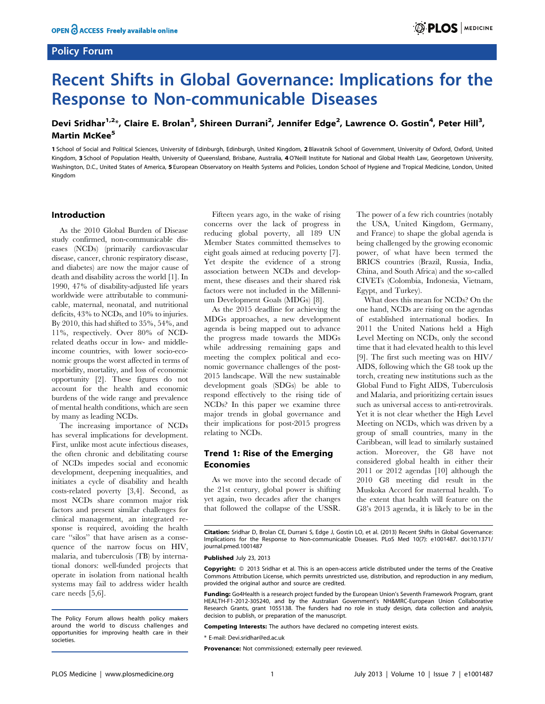## Policy Forum



# Recent Shifts in Global Governance: Implications for the Response to Non-communicable Diseases

## Devi Sridhar<sup>1,2</sup>\*, Claire E. Brolan<sup>3</sup>, Shireen Durrani<sup>2</sup>, Jennifer Edge<sup>2</sup>, Lawrence O. Gostin<sup>4</sup>, Peter Hill<sup>3</sup>, Martin McKee<sup>5</sup>

1 School of Social and Political Sciences, University of Edinburgh, Edinburgh, United Kingdom, 2 Blavatnik School of Government, University of Oxford, Oxford, United Kingdom, 3 School of Population Health, University of Queensland, Brisbane, Australia, 4O'Neill Institute for National and Global Health Law, Georgetown University, Washington, D.C., United States of America, 5 European Observatory on Health Systems and Policies, London School of Hygiene and Tropical Medicine, London, United Kingdom

#### Introduction

As the 2010 Global Burden of Disease study confirmed, non-communicable diseases (NCDs) (primarily cardiovascular disease, cancer, chronic respiratory disease, and diabetes) are now the major cause of death and disability across the world [1]. In 1990, 47% of disability-adjusted life years worldwide were attributable to communicable, maternal, neonatal, and nutritional deficits, 43% to NCDs, and 10% to injuries. By 2010, this had shifted to 35%, 54%, and 11%, respectively. Over 80% of NCDrelated deaths occur in low- and middleincome countries, with lower socio-economic groups the worst affected in terms of morbidity, mortality, and loss of economic opportunity [2]. These figures do not account for the health and economic burdens of the wide range and prevalence of mental health conditions, which are seen by many as leading NCDs.

The increasing importance of NCDs has several implications for development. First, unlike most acute infectious diseases, the often chronic and debilitating course of NCDs impedes social and economic development, deepening inequalities, and initiates a cycle of disability and health costs-related poverty [3,4]. Second, as most NCDs share common major risk factors and present similar challenges for clinical management, an integrated response is required, avoiding the health care ''silos'' that have arisen as a consequence of the narrow focus on HIV, malaria, and tuberculosis (TB) by international donors: well-funded projects that operate in isolation from national health systems may fail to address wider health care needs [5,6].

The Policy Forum allows health policy makers around the world to discuss challenges and opportunities for improving health care in their societies.

Fifteen years ago, in the wake of rising concerns over the lack of progress in reducing global poverty, all 189 UN Member States committed themselves to eight goals aimed at reducing poverty [7]. Yet despite the evidence of a strong association between NCDs and development, these diseases and their shared risk factors were not included in the Millennium Development Goals (MDGs) [8].

As the 2015 deadline for achieving the MDGs approaches, a new development agenda is being mapped out to advance the progress made towards the MDGs while addressing remaining gaps and meeting the complex political and economic governance challenges of the post-2015 landscape. Will the new sustainable development goals (SDGs) be able to respond effectively to the rising tide of NCDs? In this paper we examine three major trends in global governance and their implications for post-2015 progress relating to NCDs.

### Trend 1: Rise of the Emerging Economies

As we move into the second decade of the 21st century, global power is shifting yet again, two decades after the changes that followed the collapse of the USSR.

The power of a few rich countries (notably the USA, United Kingdom, Germany, and France) to shape the global agenda is being challenged by the growing economic power, of what have been termed the BRICS countries (Brazil, Russia, India, China, and South Africa) and the so-called CIVETs (Colombia, Indonesia, Vietnam, Egypt, and Turkey).

What does this mean for NCDs? On the one hand, NCDs are rising on the agendas of established international bodies. In 2011 the United Nations held a High Level Meeting on NCDs, only the second time that it had elevated health to this level [9]. The first such meeting was on HIV/ AIDS, following which the G8 took up the torch, creating new institutions such as the Global Fund to Fight AIDS, Tuberculosis and Malaria, and prioritizing certain issues such as universal access to anti-retrovirals. Yet it is not clear whether the High Level Meeting on NCDs, which was driven by a group of small countries, many in the Caribbean, will lead to similarly sustained action. Moreover, the G8 have not considered global health in either their 2011 or 2012 agendas [10] although the 2010 G8 meeting did result in the Muskoka Accord for maternal health. To the extent that health will feature on the G8's 2013 agenda, it is likely to be in the

Published July 23, 2013

Copyright: © 2013 Sridhar et al. This is an open-access article distributed under the terms of the Creative Commons Attribution License, which permits unrestricted use, distribution, and reproduction in any medium, provided the original author and source are credited.

Funding: Go4Health is a research project funded by the European Union's Seventh Framework Program, grant HEALTH-F1-2012-305240, and by the Australian Government's NH&MRC-European Union Collaborative Research Grants, grant 1055138. The funders had no role in study design, data collection and analysis, decision to publish, or preparation of the manuscript.

Competing Interests: The authors have declared no competing interest exists.

\* E-mail: Devi.sridhar@ed.ac.uk

Provenance: Not commissioned; externally peer reviewed.

Citation: Sridhar D, Brolan CE, Durrani S, Edge J, Gostin LO, et al. (2013) Recent Shifts in Global Governance: Implications for the Response to Non-communicable Diseases. PLoS Med 10(7): e1001487. doi:10.1371/ journal.pmed.1001487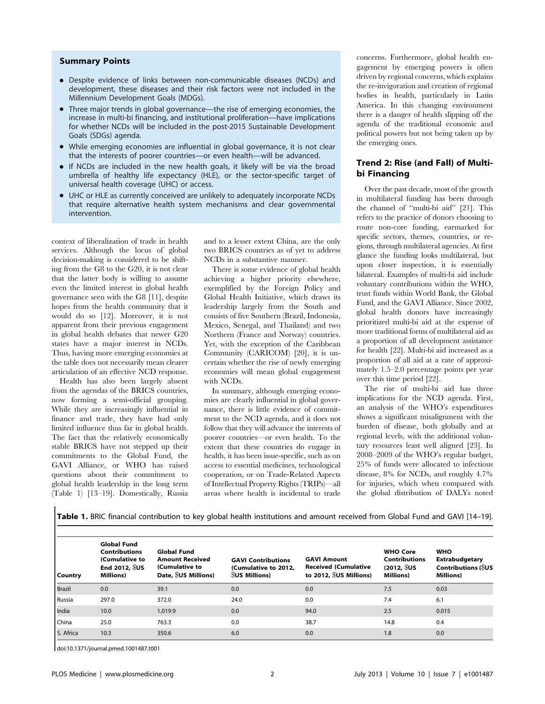#### Summary Points

- Despite evidence of links between non-communicable diseases (NCDs) and development, these diseases and their risk factors were not included in the Millennium Development Goals (MDGs).
- Three major trends in global governance—the rise of emerging economies, the increase in multi-bi financing, and institutional proliferation—have implications for whether NCDs will be included in the post-2015 Sustainable Development Goals (SDGs) agenda.
- While emerging economies are influential in global governance, it is not clear that the interests of poorer countries—or even health—will be advanced.
- $\bullet$  If NCDs are included in the new health goals, it likely will be via the broad umbrella of healthy life expectancy (HLE), or the sector-specific target of universal health coverage (UHC) or access.
- UHC or HLE as currently conceived are unlikely to adequately incorporate NCDs that require alternative health system mechanisms and clear governmental intervention.

context of liberalization of trade in health services. Although the locus of global decision-making is considered to be shifting from the G8 to the G20, it is not clear that the latter body is willing to assume even the limited interest in global health governance seen with the G8 [11], despite hopes from the health community that it would do so [12]. Moreover, it is not apparent from their previous engagement in global health debates that newer G20 states have a major interest in NCDs. Thus, having more emerging economies at the table does not necessarily mean clearer articulation of an effective NCD response.

Health has also been largely absent from the agendas of the BRICS countries, now forming a semi-official grouping. While they are increasingly influential in finance and trade, they have had only limited influence thus far in global health. The fact that the relatively economically stable BRICS have not stepped up their commitments to the Global Fund, the GAVI Alliance, or WHO has raised questions about their commitment to global health leadership in the long term (Table 1) [13–19]. Domestically, Russia and to a lesser extent China, are the only two BRICS countries as of yet to address NCDs in a substantive manner.

There is some evidence of global health achieving a higher priority elsewhere, exemplified by the Foreign Policy and Global Health Initiative, which draws its leadership largely from the South and consists of five Southern (Brazil, Indonesia, Mexico, Senegal, and Thailand) and two Northern (France and Norway) countries. Yet, with the exception of the Caribbean Community (CARICOM) [20], it is uncertain whether the rise of newly emerging economies will mean global engagement with NCDs.

In summary, although emerging economies are clearly influential in global governance, there is little evidence of commitment to the NCD agenda, and it does not follow that they will advance the interests of poorer countries—or even health. To the extent that these countries do engage in health, it has been issue-specific, such as on access to essential medicines, technological cooperation, or on Trade-Related Aspects of Intellectual Property Rights (TRIPs)—all areas where health is incidental to trade

concerns. Furthermore, global health engagement by emerging powers is often driven by regional concerns, which explains the re-invigoration and creation of regional bodies in health, particularly in Latin America. In this changing environment there is a danger of health slipping off the agenda of the traditional economic and political powers but not being taken up by the emerging ones.

## Trend 2: Rise (and Fall) of Multibi Financing

Over the past decade, most of the growth in multilateral funding has been through the channel of ''multi-bi aid'' [21]. This refers to the practice of donors choosing to route non-core funding, earmarked for specific sectors, themes, countries, or regions, through multilateral agencies. At first glance the funding looks multilateral, but upon closer inspection, it is essentially bilateral. Examples of multi-bi aid include voluntary contributions within the WHO, trust funds within World Bank, the Global Fund, and the GAVI Alliance. Since 2002, global health donors have increasingly prioritized multi-bi aid at the expense of more traditional forms of multilateral aid as a proportion of all development assistance for health [22]. Multi-bi aid increased as a proportion of all aid at a rate of approximately 1.5–2.0 percentage points per year over this time period [22].

The rise of multi-bi aid has three implications for the NCD agenda. First, an analysis of the WHO's expenditures shows a significant misalignment with the burden of disease, both globally and at regional levels, with the additional voluntary resources least well aligned [23]. In 2008–2009 of the WHO's regular budget, 25% of funds were allocated to infectious disease, 8% for NCDs, and roughly 4.7% for injuries, which when compared with the global distribution of DALYs noted

Table 1. BRIC financial contribution to key global health institutions and amount received from Global Fund and GAVI [14-19].

|               | <b>Global Fund</b><br><b>Contributions</b><br>(Cumulative to<br>End 2012, $$US$ | <b>Global Fund</b><br><b>Amount Received</b><br>(Cumulative to | <b>GAVI Contributions</b><br>(Cumulative to 2012, | <b>GAVI Amount</b><br><b>Received (Cumulative</b> | <b>WHO Core</b><br><b>Contributions</b><br>$(2012, \sqrt[6]{5}$ | <b>WHO</b><br>Extrabudgetary<br><b>Contributions (SUS</b> |
|---------------|---------------------------------------------------------------------------------|----------------------------------------------------------------|---------------------------------------------------|---------------------------------------------------|-----------------------------------------------------------------|-----------------------------------------------------------|
| Country       | <b>Millions</b> )                                                               | Date, SUS Millions)                                            | <b>SUS Millions</b> )                             | to 2012, $US$ Millions)                           | <b>Millions</b> )                                               | <b>Millions</b> )                                         |
| <b>Brazil</b> | 0.0                                                                             | 39.1                                                           | 0.0                                               | 0.0                                               | 7.5                                                             | 0.03                                                      |
| Russia        | 297.0                                                                           | 372.0                                                          | 24.0                                              | 0.0                                               | 7.4                                                             | 6.1                                                       |
| India         | 10.0                                                                            | 1,019.9                                                        | 0.0                                               | 94.0                                              | 2.5                                                             | 0.015                                                     |
| l China       | 25.0                                                                            | 763.3                                                          | 0.0                                               | 38.7                                              | 14.8                                                            | 0.4                                                       |
| S. Africa     | 10.3                                                                            | 350.6                                                          | 6.0                                               | 0.0                                               | 1.8                                                             | 0.0                                                       |

doi:10.1371/journal.pmed.1001487.t001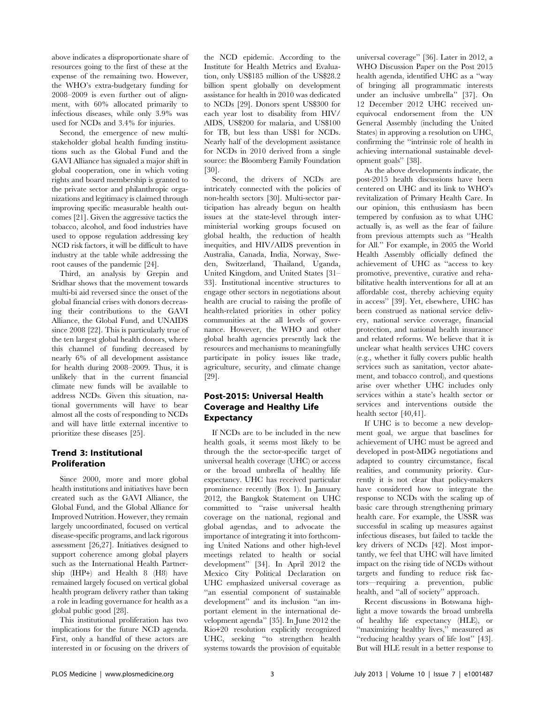above indicates a disproportionate share of resources going to the first of these at the expense of the remaining two. However, the WHO's extra-budgetary funding for 2008–2009 is even further out of alignment, with 60% allocated primarily to infectious diseases, while only 3.9% was used for NCDs and 3.4% for injuries.

Second, the emergence of new multistakeholder global health funding institutions such as the Global Fund and the GAVI Alliance has signaled a major shift in global cooperation, one in which voting rights and board membership is granted to the private sector and philanthropic organizations and legitimacy is claimed through improving specific measurable health outcomes [21]. Given the aggressive tactics the tobacco, alcohol, and food industries have used to oppose regulation addressing key NCD risk factors, it will be difficult to have industry at the table while addressing the root causes of the pandemic [24].

Third, an analysis by Grepin and Sridhar shows that the movement towards multi-bi aid reversed since the onset of the global financial crises with donors decreasing their contributions to the GAVI Alliance, the Global Fund, and UNAIDS since 2008 [22]. This is particularly true of the ten largest global health donors, where this channel of funding decreased by nearly 6% of all development assistance for health during 2008–2009. Thus, it is unlikely that in the current financial climate new funds will be available to address NCDs. Given this situation, national governments will have to bear almost all the costs of responding to NCDs and will have little external incentive to prioritize these diseases [25].

## Trend 3: Institutional Proliferation

Since 2000, more and more global health institutions and initiatives have been created such as the GAVI Alliance, the Global Fund, and the Global Alliance for Improved Nutrition. However, they remain largely uncoordinated, focused on vertical disease-specific programs, and lack rigorous assessment [26,27]. Initiatives designed to support coherence among global players such as the International Health Partnership (IHP+) and Health 8 (H8) have remained largely focused on vertical global health program delivery rather than taking a role in leading governance for health as a global public good [28].

This institutional proliferation has two implications for the future NCD agenda. First, only a handful of these actors are interested in or focusing on the drivers of the NCD epidemic. According to the Institute for Health Metrics and Evaluation, only US\$185 million of the US\$28.2 billion spent globally on development assistance for health in 2010 was dedicated to NCDs [29]. Donors spent US\$300 for each year lost to disability from HIV/ AIDS, US\$200 for malaria, and US\$100 for TB, but less than US\$1 for NCDs. Nearly half of the development assistance for NCDs in 2010 derived from a single source: the Bloomberg Family Foundation [30].

Second, the drivers of NCDs are intricately connected with the policies of non-health sectors [30]. Multi-sector participation has already begun on health issues at the state-level through interministerial working groups focused on global health, the reduction of health inequities, and HIV/AIDS prevention in Australia, Canada, India, Norway, Sweden, Switzerland, Thailand, Uganda, United Kingdom, and United States [31– 33]. Institutional incentive structures to engage other sectors in negotiations about health are crucial to raising the profile of health-related priorities in other policy communities at the all levels of governance. However, the WHO and other global health agencies presently lack the resources and mechanisms to meaningfully participate in policy issues like trade, agriculture, security, and climate change [29].

## Post-2015: Universal Health Coverage and Healthy Life Expectancy

If NCDs are to be included in the new health goals, it seems most likely to be through the the sector-specific target of universal health coverage (UHC) or access or the broad umbrella of healthy life expectancy. UHC has received particular prominence recently (Box 1). In January 2012, the Bangkok Statement on UHC committed to ''raise universal health coverage on the national, regional and global agendas, and to advocate the importance of integrating it into forthcoming United Nations and other high-level meetings related to health or social development'' [34]. In April 2012 the Mexico City Political Declaration on UHC emphasized universal coverage as ''an essential component of sustainable development'' and its inclusion ''an important element in the international development agenda'' [35]. In June 2012 the Rio+20 resolution explicitly recognized UHC, seeking ''to strengthen health systems towards the provision of equitable

universal coverage'' [36]. Later in 2012, a WHO Discussion Paper on the Post 2015 health agenda, identified UHC as a ''way of bringing all programmatic interests under an inclusive umbrella'' [37]. On 12 December 2012 UHC received unequivocal endorsement from the UN General Assembly (including the United States) in approving a resolution on UHC, confirming the ''intrinsic role of health in achieving international sustainable development goals'' [38].

As the above developments indicate, the post-2015 health discussions have been centered on UHC and its link to WHO's revitalization of Primary Health Care. In our opinion, this enthusiasm has been tempered by confusion as to what UHC actually is, as well as the fear of failure from previous attempts such as ''Health for All.'' For example, in 2005 the World Health Assembly officially defined the achievement of UHC as ''access to key promotive, preventive, curative and rehabilitative health interventions for all at an affordable cost, thereby achieving equity in access'' [39]. Yet, elsewhere, UHC has been construed as national service delivery, national service coverage, financial protection, and national health insurance and related reforms. We believe that it is unclear what health services UHC covers (e.g., whether it fully covers public health services such as sanitation, vector abatement, and tobacco control), and questions arise over whether UHC includes only services within a state's health sector or services and interventions outside the health sector [40,41].

If UHC is to become a new development goal, we argue that baselines for achievement of UHC must be agreed and developed in post-MDG negotiations and adapted to country circumstance, fiscal realities, and community priority. Currently it is not clear that policy-makers have considered how to integrate the response to NCDs with the scaling up of basic care through strengthening primary health care. For example, the USSR was successful in scaling up measures against infectious diseases, but failed to tackle the key drivers of NCDs [42]. Most importantly, we feel that UHC will have limited impact on the rising tide of NCDs without targets and funding to reduce risk factors—requiring a prevention, public health, and ''all of society'' approach.

Recent discussions in Botswana highlight a move towards the broad umbrella of healthy life expectancy (HLE), or ''maximizing healthy lives,'' measured as "reducing healthy years of life lost" [43]. But will HLE result in a better response to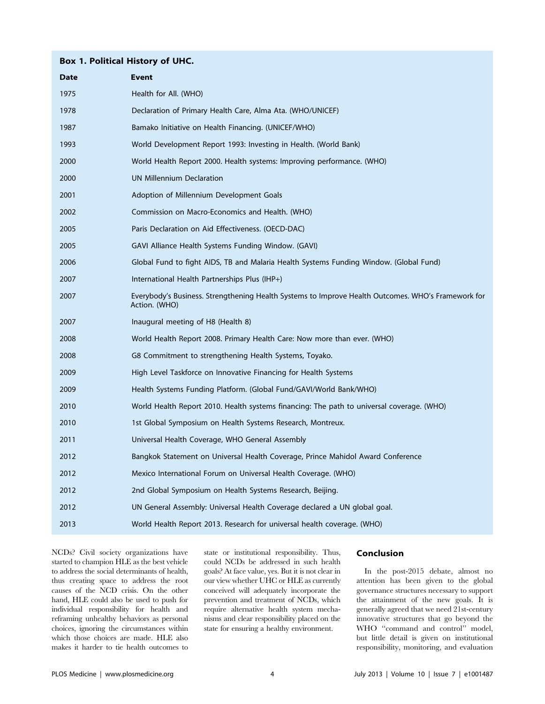#### Box 1. Political History of UHC.

| <b>Date</b> | <b>Event</b>                                                                                                        |
|-------------|---------------------------------------------------------------------------------------------------------------------|
| 1975        | Health for All. (WHO)                                                                                               |
| 1978        | Declaration of Primary Health Care, Alma Ata. (WHO/UNICEF)                                                          |
| 1987        | Bamako Initiative on Health Financing. (UNICEF/WHO)                                                                 |
| 1993        | World Development Report 1993: Investing in Health. (World Bank)                                                    |
| 2000        | World Health Report 2000. Health systems: Improving performance. (WHO)                                              |
| 2000        | <b>UN Millennium Declaration</b>                                                                                    |
| 2001        | Adoption of Millennium Development Goals                                                                            |
| 2002        | Commission on Macro-Economics and Health. (WHO)                                                                     |
| 2005        | Paris Declaration on Aid Effectiveness. (OECD-DAC)                                                                  |
| 2005        | GAVI Alliance Health Systems Funding Window. (GAVI)                                                                 |
| 2006        | Global Fund to fight AIDS, TB and Malaria Health Systems Funding Window. (Global Fund)                              |
| 2007        | International Health Partnerships Plus (IHP+)                                                                       |
| 2007        | Everybody's Business. Strengthening Health Systems to Improve Health Outcomes. WHO's Framework for<br>Action. (WHO) |
| 2007        | Inaugural meeting of H8 (Health 8)                                                                                  |
| 2008        | World Health Report 2008. Primary Health Care: Now more than ever. (WHO)                                            |
| 2008        | G8 Commitment to strengthening Health Systems, Toyako.                                                              |
| 2009        | High Level Taskforce on Innovative Financing for Health Systems                                                     |
| 2009        | Health Systems Funding Platform. (Global Fund/GAVI/World Bank/WHO)                                                  |
| 2010        | World Health Report 2010. Health systems financing: The path to universal coverage. (WHO)                           |
| 2010        | 1st Global Symposium on Health Systems Research, Montreux.                                                          |
| 2011        | Universal Health Coverage, WHO General Assembly                                                                     |
| 2012        | Bangkok Statement on Universal Health Coverage, Prince Mahidol Award Conference                                     |
| 2012        | Mexico International Forum on Universal Health Coverage. (WHO)                                                      |
| 2012        | 2nd Global Symposium on Health Systems Research, Beijing.                                                           |
| 2012        | UN General Assembly: Universal Health Coverage declared a UN global goal.                                           |
| 2013        | World Health Report 2013. Research for universal health coverage. (WHO)                                             |

NCDs? Civil society organizations have started to champion HLE as the best vehicle to address the social determinants of health, thus creating space to address the root causes of the NCD crisis. On the other hand, HLE could also be used to push for individual responsibility for health and reframing unhealthy behaviors as personal choices, ignoring the circumstances within which those choices are made. HLE also makes it harder to tie health outcomes to

state or institutional responsibility. Thus, could NCDs be addressed in such health goals? At face value, yes. But it is not clear in our view whether UHC or HLE as currently conceived will adequately incorporate the prevention and treatment of NCDs, which require alternative health system mechanisms and clear responsibility placed on the state for ensuring a healthy environment.

#### Conclusion

In the post-2015 debate, almost no attention has been given to the global governance structures necessary to support the attainment of the new goals. It is generally agreed that we need 21st-century innovative structures that go beyond the WHO "command and control" model, but little detail is given on institutional responsibility, monitoring, and evaluation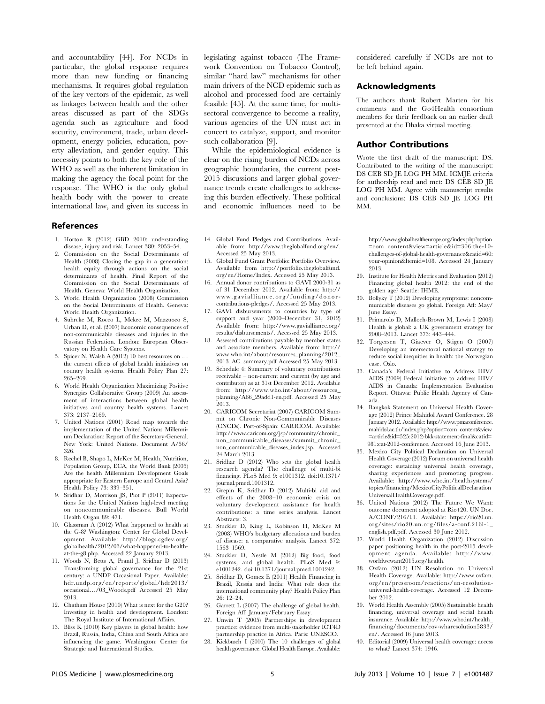and accountability [44]. For NCDs in particular, the global response requires more than new funding or financing mechanisms. It requires global regulation of the key vectors of the epidemic, as well as linkages between health and the other areas discussed as part of the SDGs agenda such as agriculture and food security, environment, trade, urban development, energy policies, education, poverty alleviation, and gender equity. This necessity points to both the key role of the WHO as well as the inherent limitation in making the agency the focal point for the response. The WHO is the only global health body with the power to create international law, and given its success in

References

- 1. Horton R (2012) GBD 2010: understanding disease, injury and risk. Lancet 380: 2053–54.
- 2. Commission on the Social Determinants of Health (2008) Closing the gap in a generation: health equity through actions on the social determinants of health. Final Report of the Commission on the Social Determinants of Health. Geneva: World Health Organization.
- 3. World Health Organization (2008) Commission on the Social Determinants of Health. Geneva: World Health Organization.
- 4. Suhrcke M, Rocco L, Mckee M, Mazzuoco S, Urban D, et al. (2007) Economic consequences of non-communicable diseases and injuries in the Russian Federation. London: European Observatory on Health Care Systems.
- 5. Spicer N, Walsh A (2012) 10 best resources on … the current effects of global health initiatives on country health systems. Health Policy Plan 27: 265–269.
- 6. World Health Organization Maximizing Positive Synergies Collaborative Group (2009) An assessment of interactions between global health initiatives and country health systems. Lancet 373: 2137–2169.
- 7. United Nations (2001) Road map towards the implementation of the United Nations Millennium Declaration: Report of the Secretary-General. New York: United Nations. Document A/56/ 326.
- 8. Rechel B, Shapo L, McKee M, Health, Nutrition, Population Group, ECA, the World Bank (2005) Are the health Millennium Development Goals appropriate for Eastern Europe and Central Asia? Health Policy 73: 339–351.
- 9. Sridhar D, Morrison JS, Piot P (2011) Expectations for the United Nations high-level meeting on noncommunicable diseases. Bull World Health Organ 89: 471.
- 10. Glassman A (2012) What happened to health at the G-8? Washington: Center for Global Development. Available: http://blogs.cgdev.org/ globalhealth/2012/03/what-happened-to-healthat-the-g8.php. Accessed 22 January 2013.
- 11. Woods N, Betts A, Prantl J, Sridhar D (2013) Transforming global governance for the 21st century: a UNDP Occasional Paper. Available: hdr.undp.org/en/reports/global/hdr2013/ occasional…/03\_Woods.pdf Accessed 25 May 2013.
- 12. Chatham House (2010) What is next for the G20? Investing in health and development. London: The Royal Institute of International Affairs.
- 13. Bliss K (2010) Key players in global health: how Brazil, Russia, India, China and South Africa are influencing the game. Washington: Center for Strategic and International Studies.

legislating against tobacco (The Framework Convention on Tobacco Control), similar ''hard law'' mechanisms for other main drivers of the NCD epidemic such as alcohol and processed food are certainly feasible [45]. At the same time, for multisectoral convergence to become a reality, various agencies of the UN must act in concert to catalyze, support, and monitor such collaboration [9].

While the epidemiological evidence is clear on the rising burden of NCDs across geographic boundaries, the current post-2015 discussions and larger global governance trends create challenges to addressing this burden effectively. These political and economic influences need to be considered carefully if NCDs are not to be left behind again.

#### Acknowledgments

The authors thank Robert Marten for his comments and the Go4Health consortium members for their feedback on an earlier draft presented at the Dhaka virtual meeting.

#### Author Contributions

Wrote the first draft of the manuscript: DS. Contributed to the writing of the manuscript: DS CEB SD JE LOG PH MM. ICMJE criteria for authorship read and met: DS CEB SD JE LOG PH MM. Agree with manuscript results and conclusions: DS CEB SD JE LOG PH MM.

- 14. Global Fund Pledges and Contributions. Available from: http://www.theglobalfund.org/en/. Accessed 25 May 2013.
- 15. Global Fund Grant Portfolio: Portfolio Overview. Available from http://portfolio.theglobalfund. org/en/Home/Index. Accessed 25 May 2013.
- 16. Annual donor contributions to GAVI 2000-31 as of 31 December 2012. Available from: http:// www.gavialliance.org/funding/donorcontributions-pledges/. Accessed 25 May 2013.
- 17. GAVI disbursements to countries by type of support and year (2000–December 31, 2012) Available from: http://www.gavialliance.org/ results/disbursements/. Accessed 25 May 2013.
- 18. Assessed contributions payable by member states and associate members. Available from: http:// www.who.int/about/resources\_planning/2012\_ 2013\_AC\_summary.pdf Accessed 25 May 2013.
- 19. Schedule 4: Summary of voluntary contributions receivable – non-current and current (by age and contributor) as at 31st December 2012. Available from: http://www.who.int/about/resources\_ planning/A66\_29add1-en.pdf. Accessed 25 May 2013.
- 20. CARICOM Secretariat (2007) CARICOM Summit on Chronic Non-Communicable Diseases (CNCDs). Port-of-Spain: CARICOM. Available: http://www.caricom.org/jsp/community/chronic\_ non\_communicable\_diseases/summit\_chronic\_ non\_communicable\_diseases\_index.jsp. Accessed 24 March 2013.
- 21. Sridhar D (2012) Who sets the global health research agenda? The challenge of multi-bi financing. PLoS Med 9: e1001312. doi:10.1371/ journal.pmed.1001312.
- 22. Grepin K, Sridhar D (2012) Multi-bi aid and effects of the 2008–10 economic crisis on voluntary development assistance for health contributions: a time series analysis. Lancet Abstracts: 3.
- 23. Stuckler D, King L, Robinson H, McKee M (2008) WHO's budgetary allocations and burden of disease: a comparative analysis. Lancet 372: 1563–1569.
- 24. Stuckler D, Nestle M (2012) Big food, food systems, and global health. PLoS Med 9: e1001242. doi:10.1371/journal.pmed.1001242.
- 25. Sridhar D, Gomez E (2011) Health Financing in Brazil, Russia and India: What role does the international community play? Health Policy Plan 26: 12–24.
- 26. Garrett L (2007) The challenge of global health. Foreign Aff: January/February Essay.
- 27. Unwin T (2005) Partnerships in development practice: evidence from multi-stakeholder ICT4D partnership practice in Africa. Paris: UNESCO.
- 28. Kickbusch I (2010) The 10 challenges of global health governance. Global Health Europe. Available:

http://www.globalhealtheurope.org/index.php?option =com\_content&view=article&id=306:the-10 challenges-of-global-health-governance&catid=60: your-opinion&Itemid=108. Accessed 24 January 2013.

- 29. Institute for Health Metrics and Evaluation (2012) Financing global health 2012: the end of the golden age? Seattle: IHME.
- 30. Bollyky T (2012) Developing symptoms: noncommunicable diseases go global. Foreign Aff: May/ June Essay.
- 31. Primarolo D, Malloch-Brown M, Lewis I (2008) Health is global: a UK government strategy for 2008–2013. Lancet 373: 443–444.
- 32. Torgersen T, Giaever O, Stigen O (2007) Developing an intersectoral national strategy to reduce social inequities in health: the Norwegian case. Oslo.
- 33. Canada's Federal Initiative to Address HIV/ AIDS (2009) Federal initiative to address HIV/ AIDS in Canada: Implementation Evaluation Report. Ottawa: Public Health Agency of Canada.
- 34. Bangkok Statement on Universal Health Coverage (2012) Prince Mahidol Award Conference. 28 January 2012. Available: http://www.pmaconference. mahidol.ac.th/index.php?option=com\_content&view =article&id=525:2012-bkk-statement-final&catid= 981:cat-2012-conference. Accessed 16 June 2013.
- 35. Mexico City Political Declaration on Universal Health Coverage (2012) Forum on universal health coverage: sustaining universal health coverage, sharing experiences and promoting progress. Available: http://www.who.int/healthsystems/ topics/financing/MexicoCityPoliticalDeclaration UniversalHealthCoverage.pdf.
- 36. United Nations (2012) The Future We Want: outcome document adopted at Rio+20. UN Doc. A/CONF/216/l.1. Available: https://rio20.un. org/sites/rio20.un.org/files/a-conf.216l-1\_ english.pdf.pdf. Accessed 30 June 2012.
- 37. World Health Organization (2012) Discussion paper positioning health in the post-2015 development agenda. Available: http://www. worldwewant2015.org/health.
- 38. Oxfam (2012) UN Resolution on Universal Health Coverage. Available: http://www.oxfam. org/en/pressroom/reactions/un-resolutionuniversal-health-coverage. Accessed 12 December 2012.
- 39. World Health Assembly (2005) Sustainable health financing, universal coverage and social health insurance. Available: http://www.who.int/health\_ financing/documents/cov-wharesolution5833/ en/. Accessed 16 June 2013.
- 40. Editorial (2009) Universal health coverage: access to what? Lancet 374: 1946.